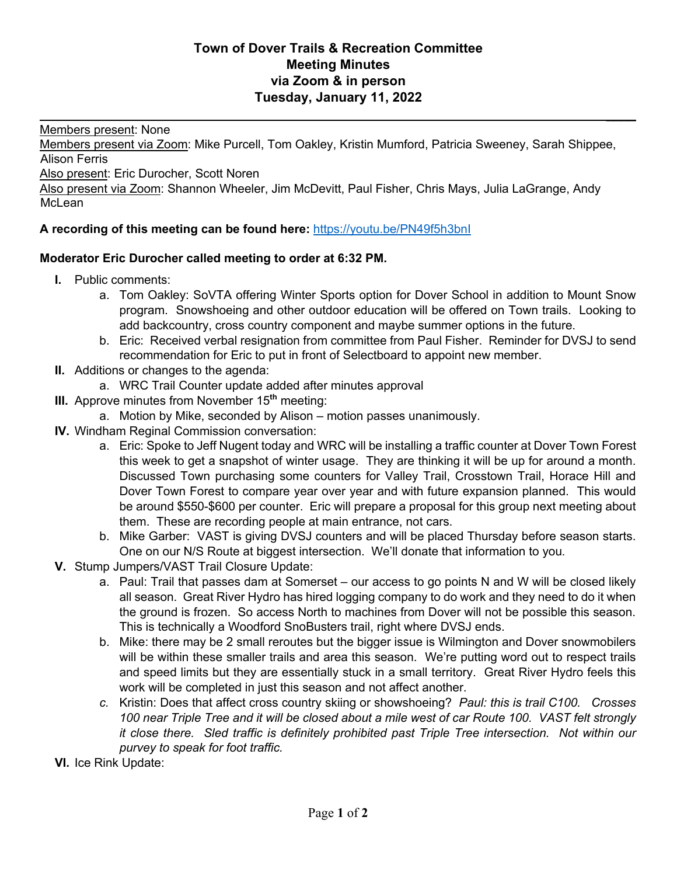## **Town of Dover Trails & Recreation Committee Meeting Minutes via Zoom & in person Tuesday, January 11, 2022**

Members present: None

Members present via Zoom: Mike Purcell, Tom Oakley, Kristin Mumford, Patricia Sweeney, Sarah Shippee, Alison Ferris

Also present: Eric Durocher, Scott Noren

Also present via Zoom: Shannon Wheeler, Jim McDevitt, Paul Fisher, Chris Mays, Julia LaGrange, Andy McLean

## **A recording of this meeting can be found here:** https://youtu.be/PN49f5h3bnI

## **Moderator Eric Durocher called meeting to order at 6:32 PM.**

- **I.** Public comments:
	- a. Tom Oakley: SoVTA offering Winter Sports option for Dover School in addition to Mount Snow program. Snowshoeing and other outdoor education will be offered on Town trails. Looking to add backcountry, cross country component and maybe summer options in the future.

 $\frac{1}{2}$ 

- b. Eric: Received verbal resignation from committee from Paul Fisher. Reminder for DVSJ to send recommendation for Eric to put in front of Selectboard to appoint new member.
- **II.** Additions or changes to the agenda:
	- a. WRC Trail Counter update added after minutes approval
- **III.** Approve minutes from November 15**th** meeting:
	- a. Motion by Mike, seconded by Alison motion passes unanimously.
- **IV.** Windham Reginal Commission conversation:
	- a. Eric: Spoke to Jeff Nugent today and WRC will be installing a traffic counter at Dover Town Forest this week to get a snapshot of winter usage. They are thinking it will be up for around a month. Discussed Town purchasing some counters for Valley Trail, Crosstown Trail, Horace Hill and Dover Town Forest to compare year over year and with future expansion planned. This would be around \$550-\$600 per counter. Eric will prepare a proposal for this group next meeting about them. These are recording people at main entrance, not cars.
	- b. Mike Garber: VAST is giving DVSJ counters and will be placed Thursday before season starts. One on our N/S Route at biggest intersection. We'll donate that information to you*.*
- **V.** Stump Jumpers/VAST Trail Closure Update:
	- a. Paul: Trail that passes dam at Somerset our access to go points N and W will be closed likely all season. Great River Hydro has hired logging company to do work and they need to do it when the ground is frozen. So access North to machines from Dover will not be possible this season. This is technically a Woodford SnoBusters trail, right where DVSJ ends.
	- b. Mike: there may be 2 small reroutes but the bigger issue is Wilmington and Dover snowmobilers will be within these smaller trails and area this season. We're putting word out to respect trails and speed limits but they are essentially stuck in a small territory. Great River Hydro feels this work will be completed in just this season and not affect another.
	- *c.* Kristin: Does that affect cross country skiing or showshoeing? *Paul: this is trail C100. Crosses 100 near Triple Tree and it will be closed about a mile west of car Route 100. VAST felt strongly it close there. Sled traffic is definitely prohibited past Triple Tree intersection. Not within our purvey to speak for foot traffic.*
- **VI.** Ice Rink Update: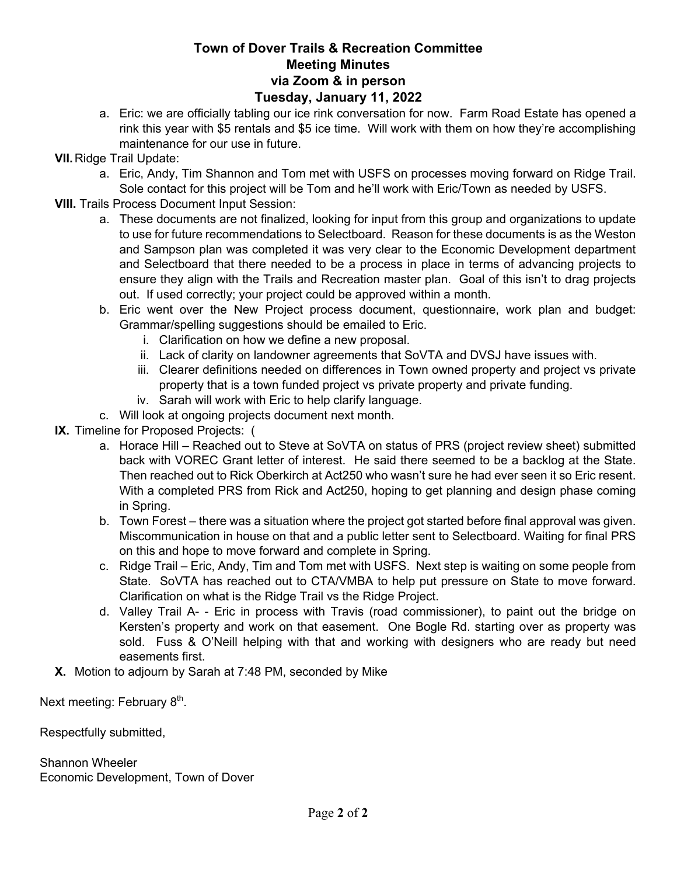## **Town of Dover Trails & Recreation Committee Meeting Minutes via Zoom & in person Tuesday, January 11, 2022**

- a. Eric: we are officially tabling our ice rink conversation for now. Farm Road Estate has opened a rink this year with \$5 rentals and \$5 ice time. Will work with them on how they're accomplishing maintenance for our use in future.
- **VII.**Ridge Trail Update:
	- a. Eric, Andy, Tim Shannon and Tom met with USFS on processes moving forward on Ridge Trail. Sole contact for this project will be Tom and he'll work with Eric/Town as needed by USFS.
- **VIII.** Trails Process Document Input Session:
	- a. These documents are not finalized, looking for input from this group and organizations to update to use for future recommendations to Selectboard. Reason for these documents is as the Weston and Sampson plan was completed it was very clear to the Economic Development department and Selectboard that there needed to be a process in place in terms of advancing projects to ensure they align with the Trails and Recreation master plan. Goal of this isn't to drag projects out. If used correctly; your project could be approved within a month.
	- b. Eric went over the New Project process document, questionnaire, work plan and budget: Grammar/spelling suggestions should be emailed to Eric.
		- i. Clarification on how we define a new proposal.
		- ii. Lack of clarity on landowner agreements that SoVTA and DVSJ have issues with.
		- iii. Clearer definitions needed on differences in Town owned property and project vs private property that is a town funded project vs private property and private funding.
		- iv. Sarah will work with Eric to help clarify language.
	- c. Will look at ongoing projects document next month.
- **IX.** Timeline for Proposed Projects: (
	- a. Horace Hill Reached out to Steve at SoVTA on status of PRS (project review sheet) submitted back with VOREC Grant letter of interest. He said there seemed to be a backlog at the State. Then reached out to Rick Oberkirch at Act250 who wasn't sure he had ever seen it so Eric resent. With a completed PRS from Rick and Act250, hoping to get planning and design phase coming in Spring.
	- b. Town Forest there was a situation where the project got started before final approval was given. Miscommunication in house on that and a public letter sent to Selectboard. Waiting for final PRS on this and hope to move forward and complete in Spring.
	- c. Ridge Trail Eric, Andy, Tim and Tom met with USFS. Next step is waiting on some people from State. SoVTA has reached out to CTA/VMBA to help put pressure on State to move forward. Clarification on what is the Ridge Trail vs the Ridge Project.
	- d. Valley Trail A- Eric in process with Travis (road commissioner), to paint out the bridge on Kersten's property and work on that easement. One Bogle Rd. starting over as property was sold. Fuss & O'Neill helping with that and working with designers who are ready but need easements first.
- **X.** Motion to adjourn by Sarah at 7:48 PM, seconded by Mike

Next meeting: February 8<sup>th</sup>.

Respectfully submitted,

Shannon Wheeler Economic Development, Town of Dover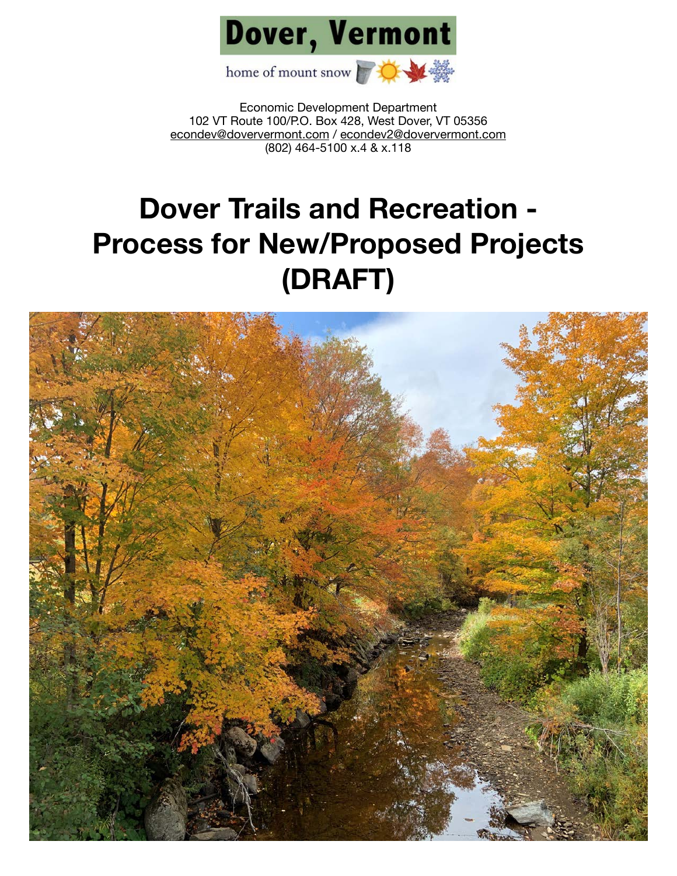

Economic Development Department 102 VT Route 100/P.O. Box 428, West Dover, VT 05356 [econdev@doververmont.com](mailto:econdev@doververmont.com) / [econdev2@doververmont.com](mailto:econdev2@doververmont.com) (802) 464-5100 x.4 & x.118

## **Dover Trails and Recreation - Process for New/Proposed Projects (DRAFT)**

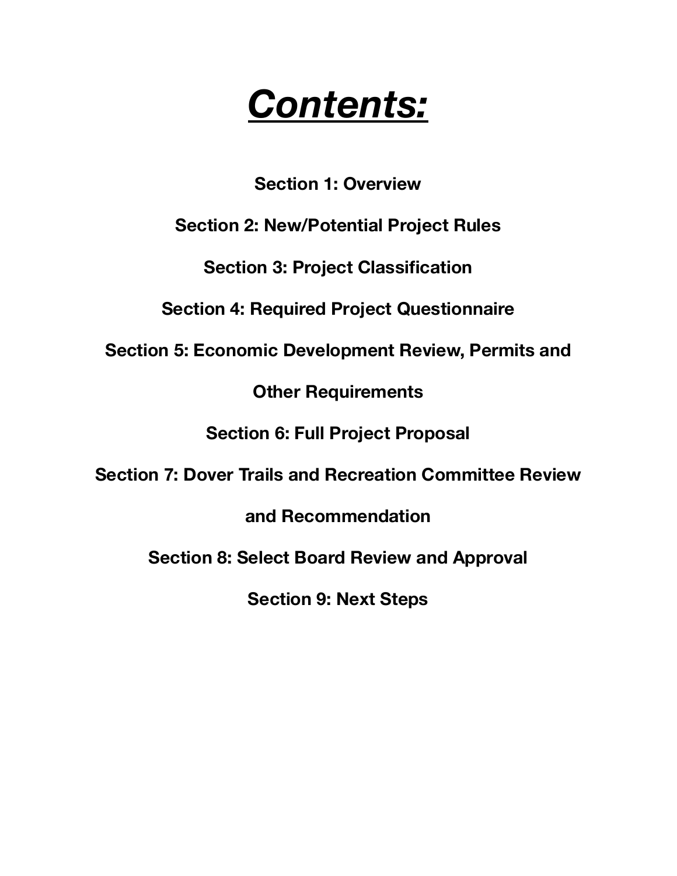# *Contents:*

**Section 1: Overview** 

**Section 2: New/Potential Project Rules** 

**Section 3: Project Classification** 

**Section 4: Required Project Questionnaire** 

**Section 5: Economic Development Review, Permits and** 

**Other Requirements** 

**Section 6: Full Project Proposal** 

**Section 7: Dover Trails and Recreation Committee Review** 

**and Recommendation** 

**Section 8: Select Board Review and Approval** 

**Section 9: Next Steps**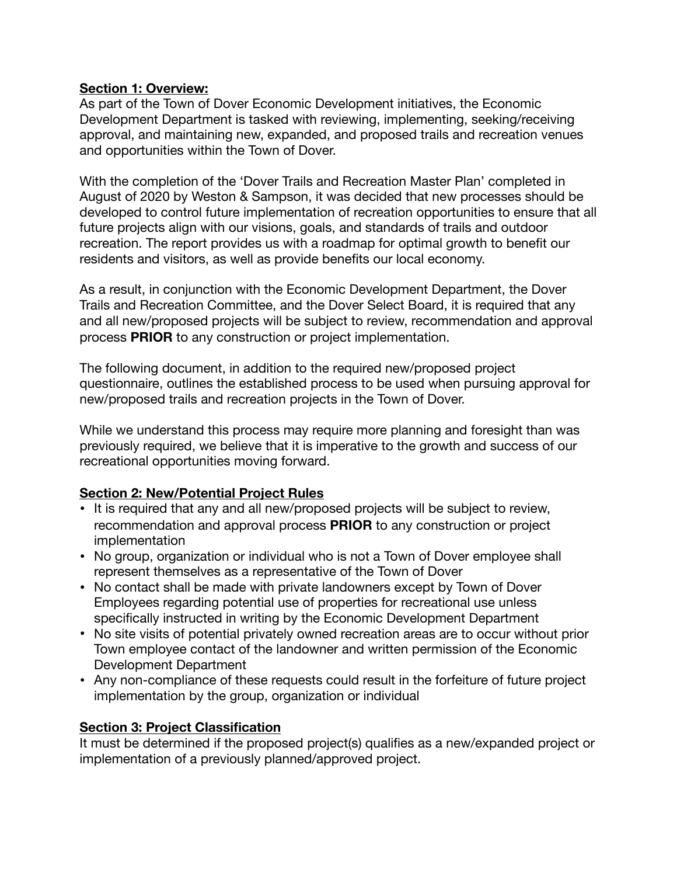## **Section 1: Overview:**

As part of the Town of Dover Economic Development initiatives, the Economic Development Department is tasked with reviewing, implementing, seeking/receiving approval, and maintaining new, expanded, and proposed trails and recreation venues and opportunities within the Town of Dover.

With the completion of the 'Dover Trails and Recreation Master Plan' completed in August of 2020 by Weston & Sampson, it was decided that new processes should be developed to control future implementation of recreation opportunities to ensure that all future projects align with our visions, goals, and standards of trails and outdoor recreation. The report provides us with a roadmap for optimal growth to benefit our residents and visitors, as well as provide benefits our local economy.

As a result, in conjunction with the Economic Development Department, the Dover Trails and Recreation Committee, and the Dover Select Board, it is required that any and all new/proposed projects will be subject to review, recommendation and approval process **PRIOR** to any construction or project implementation.

The following document, in addition to the required new/proposed project questionnaire, outlines the established process to be used when pursuing approval for new/proposed trails and recreation projects in the Town of Dover.

While we understand this process may require more planning and foresight than was previously required, we believe that it is imperative to the growth and success of our recreational opportunities moving forward.

## **Section 2: New/Potential Project Rules**

- It is required that any and all new/proposed projects will be subject to review, recommendation and approval process **PRIOR** to any construction or project implementation
- No group, organization or individual who is not a Town of Dover employee shall represent themselves as a representative of the Town of Dover
- No contact shall be made with private landowners except by Town of Dover Employees regarding potential use of properties for recreational use unless specifically instructed in writing by the Economic Development Department
- No site visits of potential privately owned recreation areas are to occur without prior Town employee contact of the landowner and written permission of the Economic Development Department
- Any non-compliance of these requests could result in the forfeiture of future project implementation by the group, organization or individual

## **Section 3: Project Classification**

It must be determined if the proposed project(s) qualifies as a new/expanded project or implementation of a previously planned/approved project.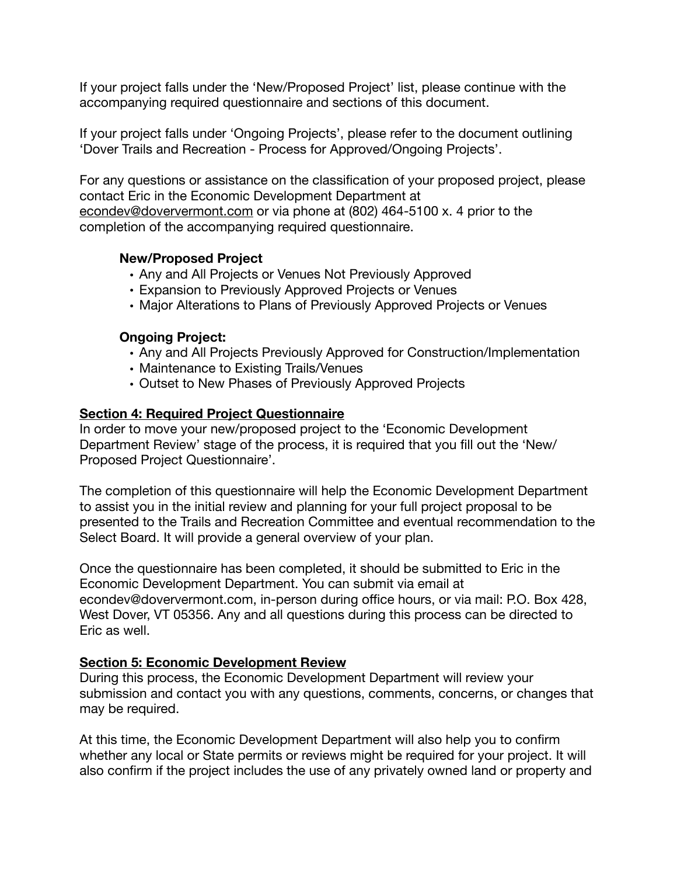If your project falls under the 'New/Proposed Project' list, please continue with the accompanying required questionnaire and sections of this document.

If your project falls under 'Ongoing Projects', please refer to the document outlining 'Dover Trails and Recreation - Process for Approved/Ongoing Projects'.

For any questions or assistance on the classification of your proposed project, please contact Eric in the Economic Development Department at [econdev@doververmont.com](mailto:econdev@doververmont.com) or via phone at (802) 464-5100 x. 4 prior to the completion of the accompanying required questionnaire.

### **New/Proposed Project**

- Any and All Projects or Venues Not Previously Approved
- Expansion to Previously Approved Projects or Venues
- Major Alterations to Plans of Previously Approved Projects or Venues

## **Ongoing Project:**

- Any and All Projects Previously Approved for Construction/Implementation
- Maintenance to Existing Trails/Venues
- Outset to New Phases of Previously Approved Projects

### **Section 4: Required Project Questionnaire**

In order to move your new/proposed project to the 'Economic Development Department Review' stage of the process, it is required that you fill out the 'New/ Proposed Project Questionnaire'.

The completion of this questionnaire will help the Economic Development Department to assist you in the initial review and planning for your full project proposal to be presented to the Trails and Recreation Committee and eventual recommendation to the Select Board. It will provide a general overview of your plan.

Once the questionnaire has been completed, it should be submitted to Eric in the Economic Development Department. You can submit via email at econdev@doververmont.com, in-person during office hours, or via mail: P.O. Box 428, West Dover, VT 05356. Any and all questions during this process can be directed to Eric as well.

## **Section 5: Economic Development Review**

During this process, the Economic Development Department will review your submission and contact you with any questions, comments, concerns, or changes that may be required.

At this time, the Economic Development Department will also help you to confirm whether any local or State permits or reviews might be required for your project. It will also confirm if the project includes the use of any privately owned land or property and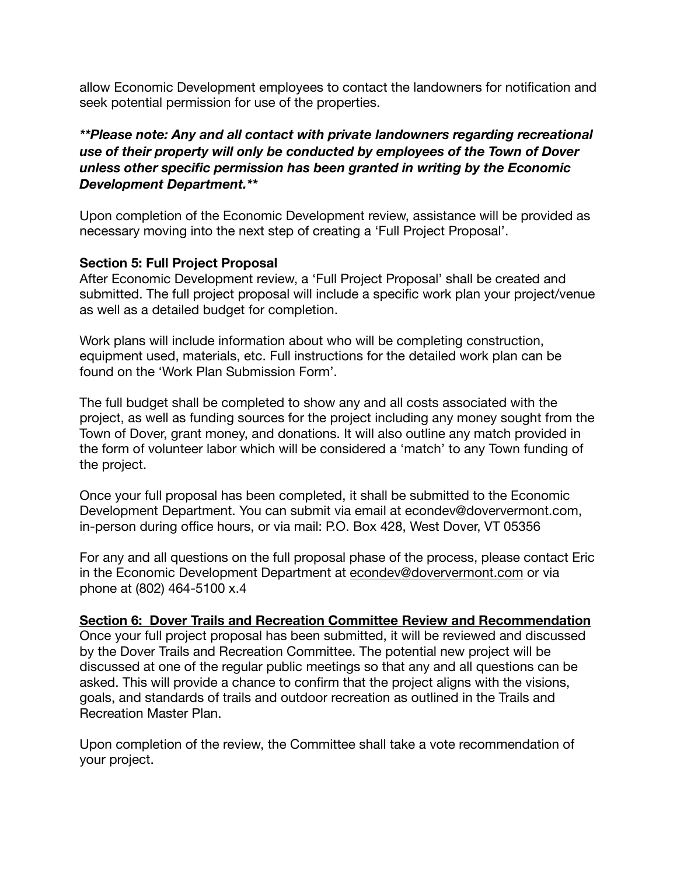allow Economic Development employees to contact the landowners for notification and seek potential permission for use of the properties.

*\*\*Please note: Any and all contact with private landowners regarding recreational use of their property will only be conducted by employees of the Town of Dover unless other specific permission has been granted in writing by the Economic Development Department.\*\** 

Upon completion of the Economic Development review, assistance will be provided as necessary moving into the next step of creating a 'Full Project Proposal'.

## **Section 5: Full Project Proposal**

After Economic Development review, a 'Full Project Proposal' shall be created and submitted. The full project proposal will include a specific work plan your project/venue as well as a detailed budget for completion.

Work plans will include information about who will be completing construction, equipment used, materials, etc. Full instructions for the detailed work plan can be found on the 'Work Plan Submission Form'.

The full budget shall be completed to show any and all costs associated with the project, as well as funding sources for the project including any money sought from the Town of Dover, grant money, and donations. It will also outline any match provided in the form of volunteer labor which will be considered a 'match' to any Town funding of the project.

Once your full proposal has been completed, it shall be submitted to the Economic Development Department. You can submit via email at econdev@doververmont.com, in-person during office hours, or via mail: P.O. Box 428, West Dover, VT 05356

For any and all questions on the full proposal phase of the process, please contact Eric in the Economic Development Department at [econdev@doververmont.com](mailto:econdev@doververmont.com) or via phone at (802) 464-5100 x.4

## **Section 6: Dover Trails and Recreation Committee Review and Recommendation**

Once your full project proposal has been submitted, it will be reviewed and discussed by the Dover Trails and Recreation Committee. The potential new project will be discussed at one of the regular public meetings so that any and all questions can be asked. This will provide a chance to confirm that the project aligns with the visions, goals, and standards of trails and outdoor recreation as outlined in the Trails and Recreation Master Plan.

Upon completion of the review, the Committee shall take a vote recommendation of your project.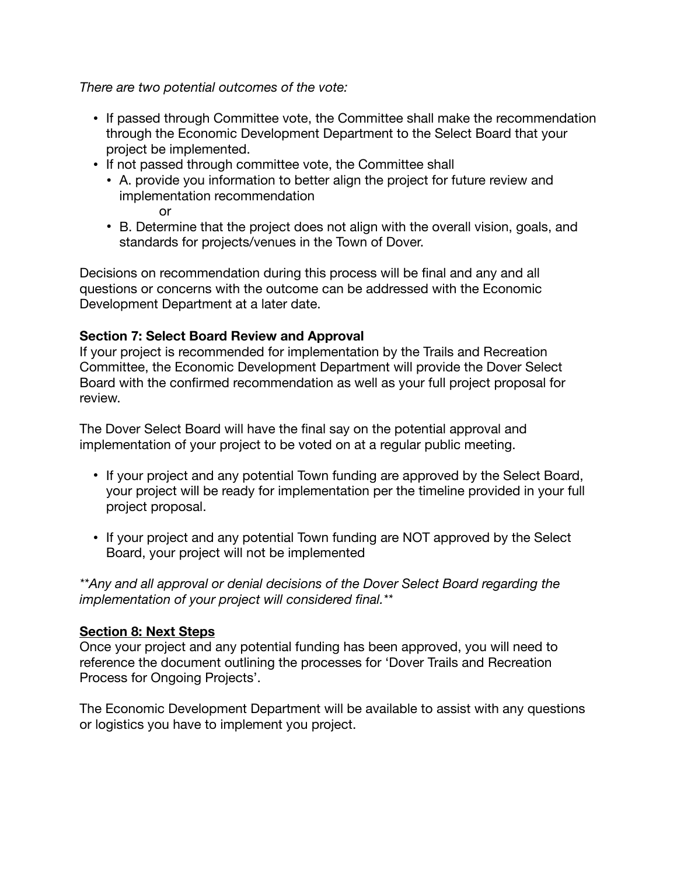*There are two potential outcomes of the vote:* 

- If passed through Committee vote, the Committee shall make the recommendation through the Economic Development Department to the Select Board that your project be implemented.
- If not passed through committee vote, the Committee shall
	- A. provide you information to better align the project for future review and implementation recommendation

or

• B. Determine that the project does not align with the overall vision, goals, and standards for projects/venues in the Town of Dover.

Decisions on recommendation during this process will be final and any and all questions or concerns with the outcome can be addressed with the Economic Development Department at a later date.

## **Section 7: Select Board Review and Approval**

If your project is recommended for implementation by the Trails and Recreation Committee, the Economic Development Department will provide the Dover Select Board with the confirmed recommendation as well as your full project proposal for review.

The Dover Select Board will have the final say on the potential approval and implementation of your project to be voted on at a regular public meeting.

- If your project and any potential Town funding are approved by the Select Board, your project will be ready for implementation per the timeline provided in your full project proposal.
- If your project and any potential Town funding are NOT approved by the Select Board, your project will not be implemented

*\*\*Any and all approval or denial decisions of the Dover Select Board regarding the implementation of your project will considered final.\*\** 

## **Section 8: Next Steps**

Once your project and any potential funding has been approved, you will need to reference the document outlining the processes for 'Dover Trails and Recreation Process for Ongoing Projects'.

The Economic Development Department will be available to assist with any questions or logistics you have to implement you project.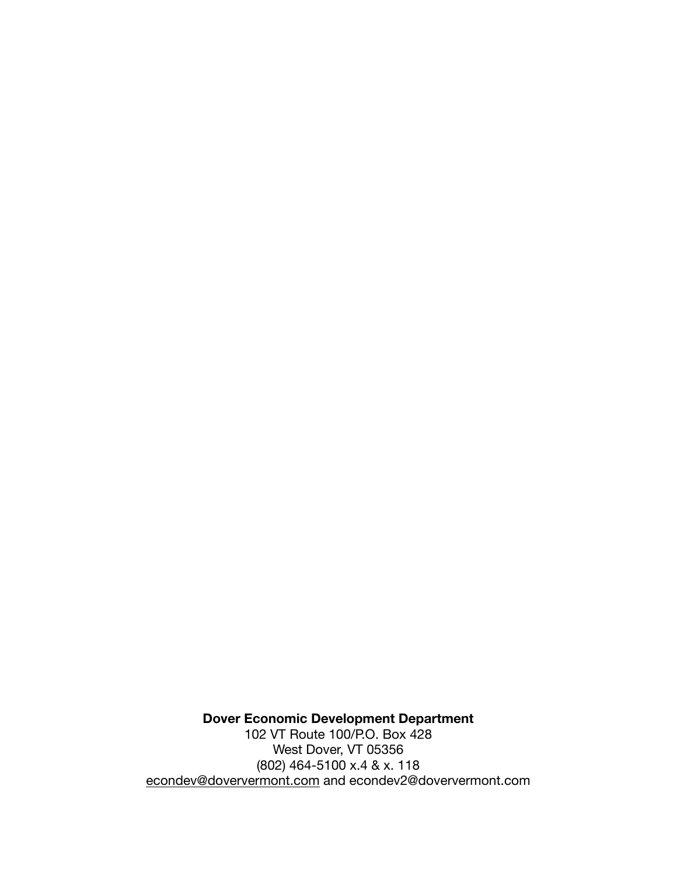**Dover Economic Development Department**  102 VT Route 100/P.O. Box 428 West Dover, VT 05356 (802) 464-5100 x.4 & x. 118 [econdev@doververmont.com](mailto:econdev@doververmont.com) and econdev2@doververmont.com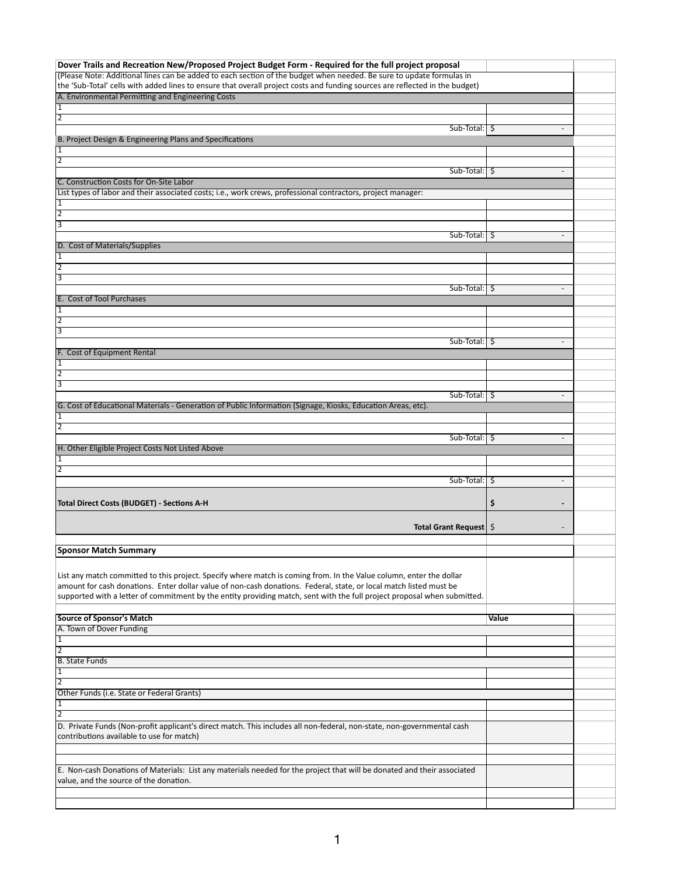| Dover Trails and Recreation New/Proposed Project Budget Form - Required for the full project proposal                                                             |                          |  |
|-------------------------------------------------------------------------------------------------------------------------------------------------------------------|--------------------------|--|
| (Please Note: Additional lines can be added to each section of the budget when needed. Be sure to update formulas in                                              |                          |  |
| the 'Sub-Total' cells with added lines to ensure that overall project costs and funding sources are reflected in the budget)                                      |                          |  |
| A. Environmental Permitting and Engineering Costs                                                                                                                 |                          |  |
| $\overline{1}$                                                                                                                                                    |                          |  |
| $\overline{2}$                                                                                                                                                    |                          |  |
| $Sub-Total:$ $\sqrt{5}$                                                                                                                                           | $\overline{\phantom{a}}$ |  |
| B. Project Design & Engineering Plans and Specifications                                                                                                          |                          |  |
| 1                                                                                                                                                                 |                          |  |
| $\overline{2}$                                                                                                                                                    |                          |  |
| $Sub-Total:$ $\frac{1}{5}$                                                                                                                                        | $\overline{\phantom{a}}$ |  |
| C. Construction Costs for On-Site Labor                                                                                                                           |                          |  |
| List types of labor and their associated costs; i.e., work crews, professional contractors, project manager:                                                      |                          |  |
| 1                                                                                                                                                                 |                          |  |
| $\overline{2}$                                                                                                                                                    |                          |  |
| 3                                                                                                                                                                 |                          |  |
| $Sub-Total:$ $\frac{1}{5}$                                                                                                                                        | $\overline{\phantom{a}}$ |  |
| D. Cost of Materials/Supplies                                                                                                                                     |                          |  |
| 1                                                                                                                                                                 |                          |  |
| $\overline{2}$                                                                                                                                                    |                          |  |
| 3                                                                                                                                                                 |                          |  |
| $Sub-Total:$ $\frac{1}{5}$<br>E. Cost of Tool Purchases                                                                                                           | $\overline{\phantom{a}}$ |  |
| $\overline{1}$                                                                                                                                                    |                          |  |
| $\overline{2}$                                                                                                                                                    |                          |  |
| $\overline{3}$                                                                                                                                                    |                          |  |
| $Sub-Total:$ $\sqrt{5}$                                                                                                                                           | $\overline{\phantom{a}}$ |  |
| F. Cost of Equipment Rental                                                                                                                                       |                          |  |
| $\overline{1}$                                                                                                                                                    |                          |  |
| $\overline{2}$                                                                                                                                                    |                          |  |
| 3                                                                                                                                                                 |                          |  |
| $Sub-Total:$ $\sqrt{5}$                                                                                                                                           | $\overline{\phantom{a}}$ |  |
| G. Cost of Educational Materials - Generation of Public Information (Signage, Kiosks, Education Areas, etc).                                                      |                          |  |
| $\overline{1}$                                                                                                                                                    |                          |  |
| $\overline{2}$                                                                                                                                                    |                          |  |
| $Sub-Total:$ $\frac{1}{2}$                                                                                                                                        |                          |  |
| H. Other Eligible Project Costs Not Listed Above                                                                                                                  |                          |  |
| $\vert$ 1                                                                                                                                                         |                          |  |
| $\overline{2}$                                                                                                                                                    |                          |  |
| $Sub-Total:$ $\frac{1}{5}$                                                                                                                                        | $\overline{\phantom{a}}$ |  |
|                                                                                                                                                                   |                          |  |
| Total Direct Costs (BUDGET) - Sections A-H                                                                                                                        | \$                       |  |
|                                                                                                                                                                   |                          |  |
| Total Grant Request   \$                                                                                                                                          |                          |  |
|                                                                                                                                                                   |                          |  |
| <b>Sponsor Match Summary</b>                                                                                                                                      |                          |  |
|                                                                                                                                                                   |                          |  |
| List any match committed to this project. Specify where match is coming from. In the Value column, enter the dollar                                               |                          |  |
| amount for cash donations. Enter dollar value of non-cash donations. Federal, state, or local match listed must be                                                |                          |  |
| supported with a letter of commitment by the entity providing match, sent with the full project proposal when submitted.                                          |                          |  |
|                                                                                                                                                                   |                          |  |
| <b>Source of Sponsor's Match</b>                                                                                                                                  | Value                    |  |
| A. Town of Dover Funding                                                                                                                                          |                          |  |
| 1                                                                                                                                                                 |                          |  |
| $\overline{2}$                                                                                                                                                    |                          |  |
| <b>B. State Funds</b>                                                                                                                                             |                          |  |
| $\overline{1}$                                                                                                                                                    |                          |  |
| $\overline{2}$                                                                                                                                                    |                          |  |
| Other Funds (i.e. State or Federal Grants)                                                                                                                        |                          |  |
| $\vert$ 1                                                                                                                                                         |                          |  |
| $\overline{2}$                                                                                                                                                    |                          |  |
| D. Private Funds (Non-profit applicant's direct match. This includes all non-federal, non-state, non-governmental cash                                            |                          |  |
| contributions available to use for match)                                                                                                                         |                          |  |
|                                                                                                                                                                   |                          |  |
|                                                                                                                                                                   |                          |  |
| E. Non-cash Donations of Materials: List any materials needed for the project that will be donated and their associated<br>value, and the source of the donation. |                          |  |
|                                                                                                                                                                   |                          |  |
|                                                                                                                                                                   |                          |  |
|                                                                                                                                                                   |                          |  |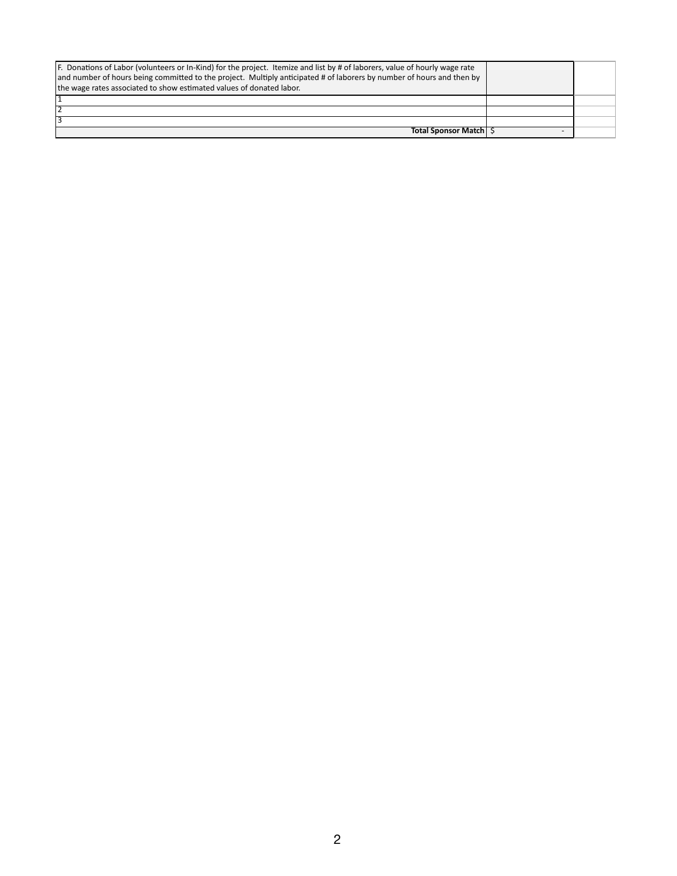| Total Sponsor Match   \$ |  |
|--------------------------|--|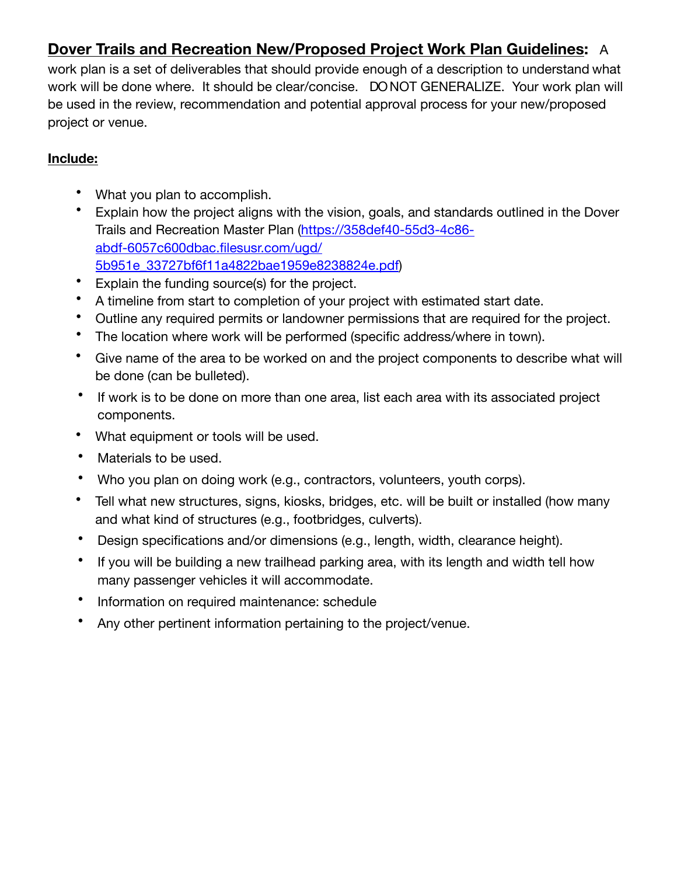## **Dover Trails and Recreation New/Proposed Project Work Plan Guidelines:** A

work plan is a set of deliverables that should provide enough of a description to understand what work will be done where. It should be clear/concise. DO NOT GENERALIZE. Your work plan will be used in the review, recommendation and potential approval process for your new/proposed project or venue.

## **Include:**

- What you plan to accomplish.
- Explain how the project aligns with the vision, goals, and standards outlined in the Dover Trails and Recreation Master Plan [\(https://358def40-55d3-4c86](https://358def40-55d3-4c86-abdf-6057c600dbac.filesusr.com/ugd/5b951e_33727bf6f11a4822bae1959e8238824e.pdf) [abdf-6057c600dbac.filesusr.com/ugd/](https://358def40-55d3-4c86-abdf-6057c600dbac.filesusr.com/ugd/5b951e_33727bf6f11a4822bae1959e8238824e.pdf) [5b951e\\_33727bf6f11a4822bae1959e8238824e.pdf\)](https://358def40-55d3-4c86-abdf-6057c600dbac.filesusr.com/ugd/5b951e_33727bf6f11a4822bae1959e8238824e.pdf)
- Explain the funding source(s) for the project.
- A timeline from start to completion of your project with estimated start date.
- Outline any required permits or landowner permissions that are required for the project.
- The location where work will be performed (specific address/where in town).
- Give name of the area to be worked on and the project components to describe what will be done (can be bulleted).
- If work is to be done on more than one area, list each area with its associated project components.
- What equipment or tools will be used.
- Materials to be used.
- Who you plan on doing work (e.g., contractors, volunteers, youth corps).
- Tell what new structures, signs, kiosks, bridges, etc. will be built or installed (how many and what kind of structures (e.g., footbridges, culverts).
- Design specifications and/or dimensions (e.g., length, width, clearance height).
- If you will be building a new trailhead parking area, with its length and width tell how many passenger vehicles it will accommodate.
- Information on required maintenance: schedule
- Any other pertinent information pertaining to the project/venue.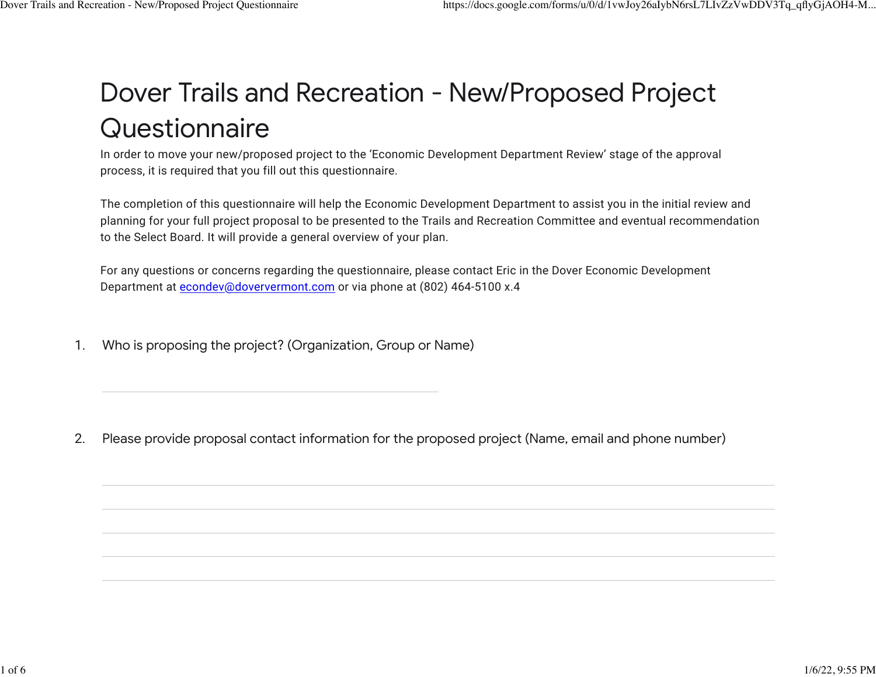## Dover Trails and Recreation - New/Proposed Project **Questionnaire**

In order to move your new/proposed project to the 'Economic Development Department Review' stage of the approval process, it is required that you fill out this questionnaire.

The completion of this questionnaire will help the Economic Development Department to assist you in the initial review and planning for your full project proposal to be presented to the Trails and Recreation Committee and eventual recommendation to the Select Board. It will provide a general overview of your plan.

For any questions or concerns regarding the questionnaire, please contact Eric in the Dover Economic Development Department at [econdev@doververmont.com](mailto:econdev@doververmont.com) or via phone at (802) 464-5100 x.4

1. Who is proposing the project? (Organization, Group or Name)

2. Please provide proposal contact information for the proposed project (Name, email and phone number)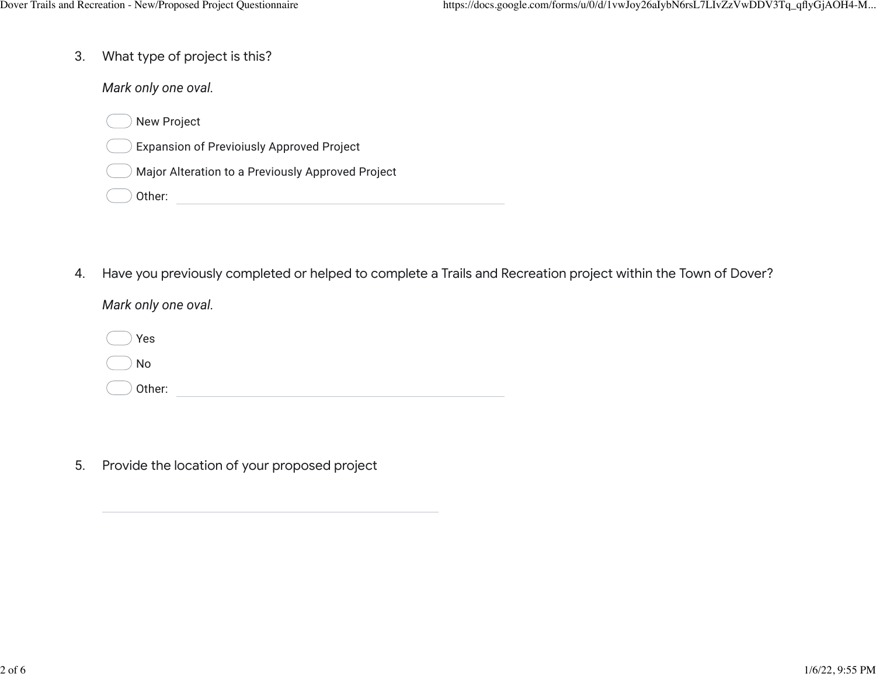3. What type of project is this?

*Mark only one oval.*

- New Project
- Expansion of Previoiusly Approved Project
- Major Alteration to a Previously Approved Project
- Other: <u>with a series of the series of the series of the series of the series of the series of the series of the series of the series of the series of the series of the series of the series of the series of the series of t</u>
- 4. Have you previously completed or helped to complete a Trails and Recreation project within the Town of Dover?

*Mark only one oval.*

Other: when the contract of the contract of the contract of the contract of the contract of the contract of the contract of the contract of the contract of the contract of the contract of the contract of the contract of th Yes No

5. Provide the location of your proposed project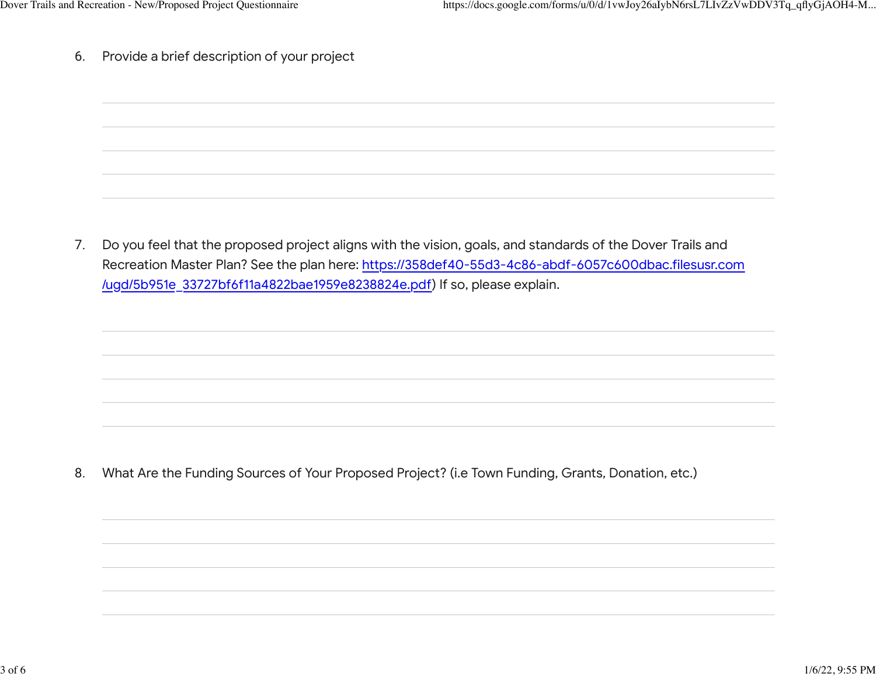6. Provide a brief description of your project

7. Do you feel that the proposed project aligns with the vision, goals, and standards of the Dover Trails and Recreation Master Plan? See the plan here: [https://358def40-55d3-4c86-abdf-6057c600dbac.filesusr.com](https://www.google.com/url?q=https://358def40-55d3-4c86-abdf-6057c600dbac.filesusr.com/ugd/5b951e_33727bf6f11a4822bae1959e8238824e.pdf&sa=D&source=editors&ust=1641527739739757&usg=AOvVaw0-7VRC2c_zwh5CQr4rpTLy) [/ugd/5b951e\\_33727bf6f11a4822bae1959e8238824e.pdf\)](https://www.google.com/url?q=https://358def40-55d3-4c86-abdf-6057c600dbac.filesusr.com/ugd/5b951e_33727bf6f11a4822bae1959e8238824e.pdf&sa=D&source=editors&ust=1641527739739757&usg=AOvVaw0-7VRC2c_zwh5CQr4rpTLy) If so, please explain.

8. What Are the Funding Sources of Your Proposed Project? (i.e Town Funding, Grants, Donation, etc.)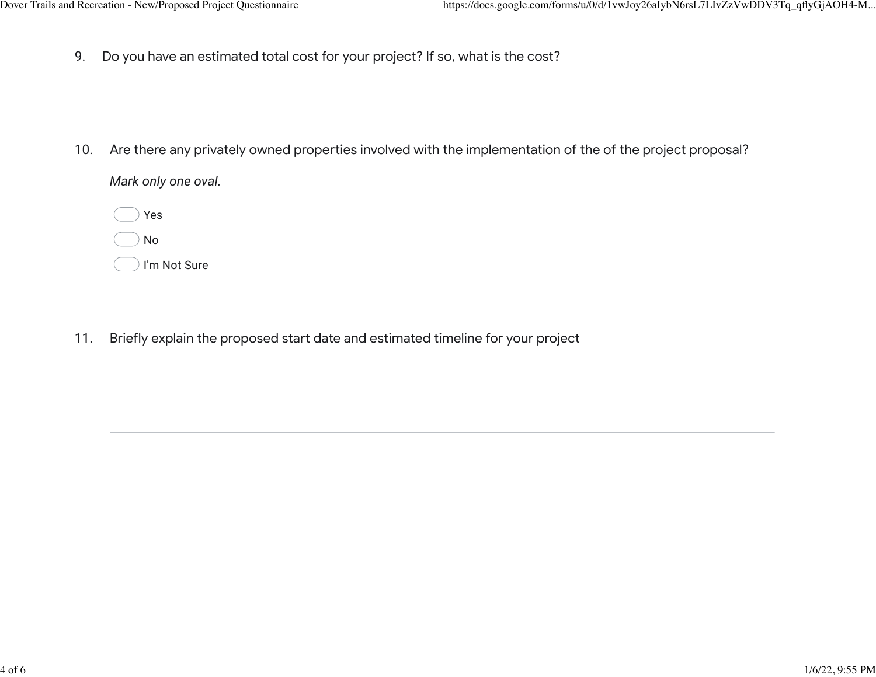9. Do you have an estimated total cost for your project? If so, what is the cost?

10. Are there any privately owned properties involved with the implementation of the of the project proposal?

*Mark only one oval.*

Yes No I'm Not Sure

11. Briefly explain the proposed start date and estimated timeline for your project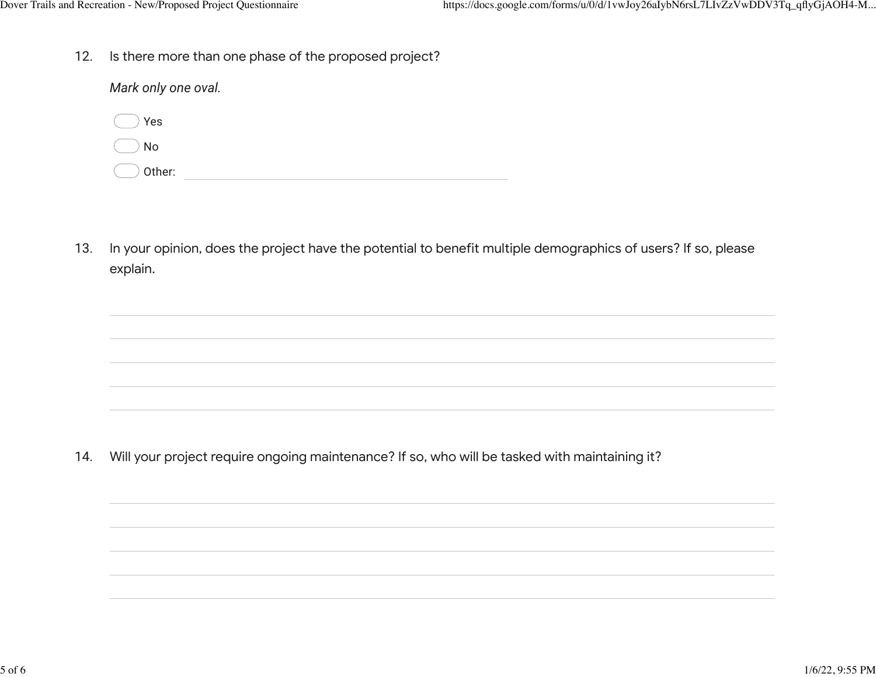12. Is there more than one phase of the proposed project?

| Mark only one oval. |  |  |
|---------------------|--|--|
| Yes                 |  |  |
| No                  |  |  |
| Other:              |  |  |

13. In your opinion, does the project have the potential to benefit multiple demographics of users? If so, please explain.

14. Will your project require ongoing maintenance? If so, who will be tasked with maintaining it?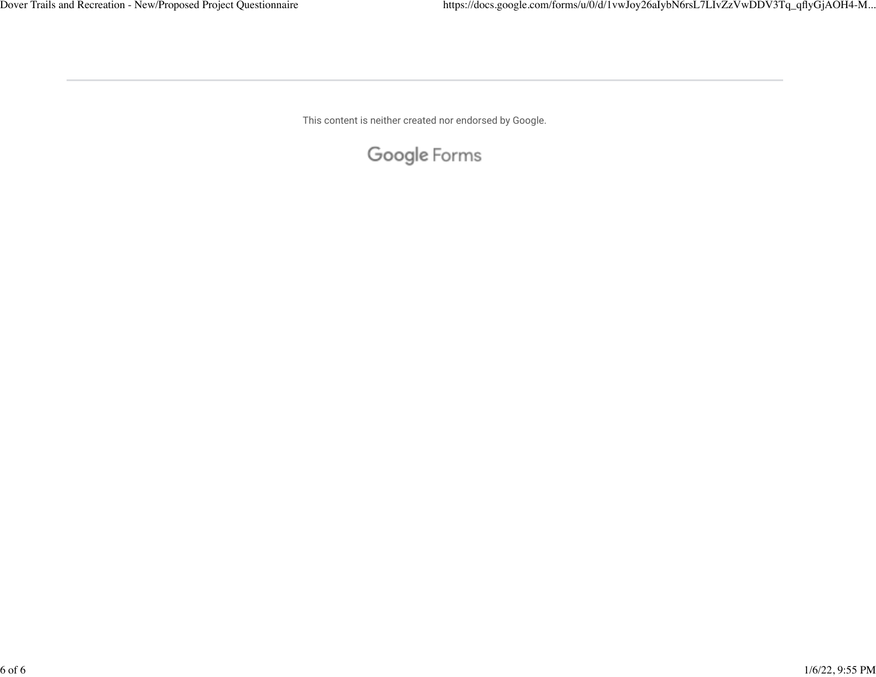This content is neither created nor endorsed by Google.

Google Forms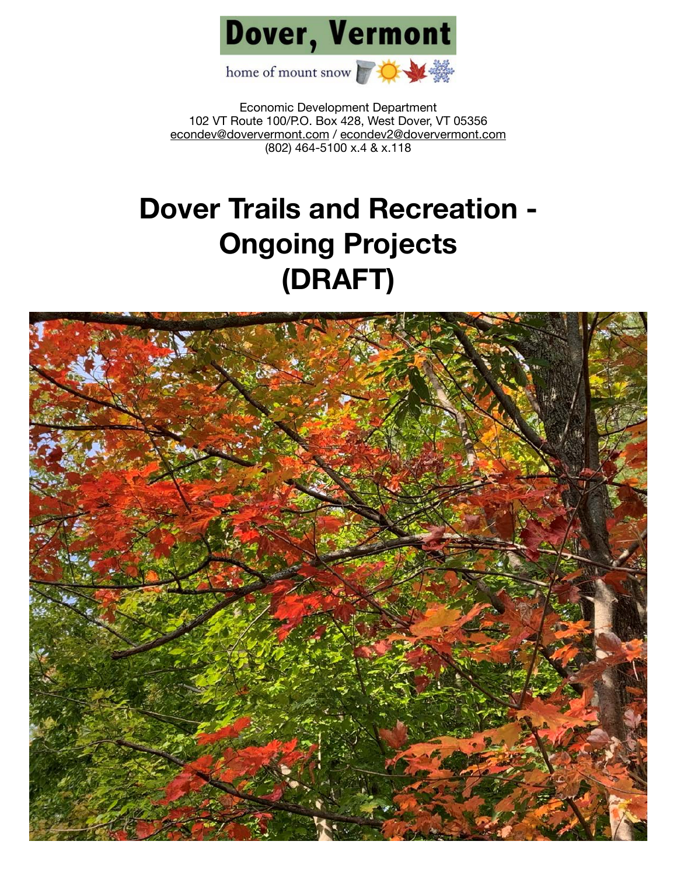

Economic Development Department 102 VT Route 100/P.O. Box 428, West Dover, VT 05356 [econdev@doververmont.com](mailto:econdev@doververmont.com) / [econdev2@doververmont.com](mailto:econdev2@doververmont.com) (802) 464-5100 x.4 & x.118

## **Dover Trails and Recreation - Ongoing Projects (DRAFT)**

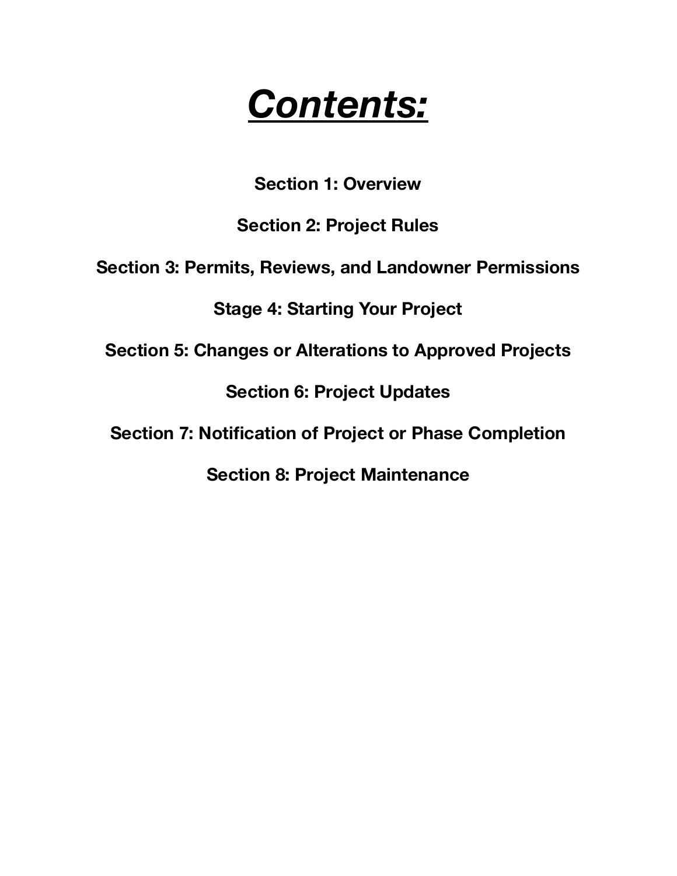# *Contents:*

**Section 1: Overview** 

**Section 2: Project Rules** 

**Section 3: Permits, Reviews, and Landowner Permissions** 

**Stage 4: Starting Your Project** 

**Section 5: Changes or Alterations to Approved Projects** 

**Section 6: Project Updates** 

**Section 7: Notification of Project or Phase Completion** 

**Section 8: Project Maintenance**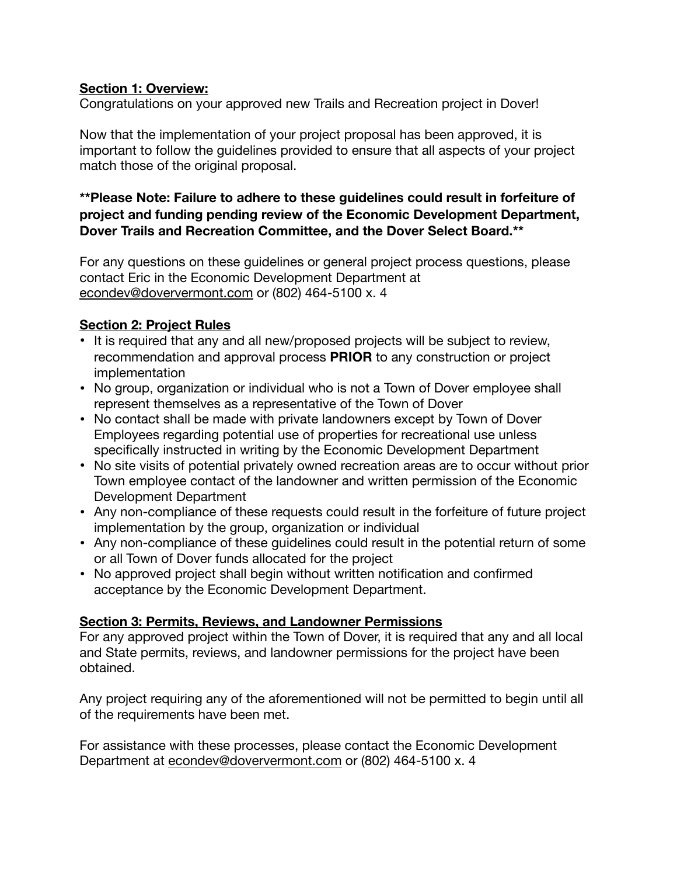## **Section 1: Overview:**

Congratulations on your approved new Trails and Recreation project in Dover!

Now that the implementation of your project proposal has been approved, it is important to follow the guidelines provided to ensure that all aspects of your project match those of the original proposal.

## **\*\*Please Note: Failure to adhere to these guidelines could result in forfeiture of project and funding pending review of the Economic Development Department, Dover Trails and Recreation Committee, and the Dover Select Board.\*\***

For any questions on these guidelines or general project process questions, please contact Eric in the Economic Development Department at [econdev@doververmont.com](mailto:econdev@doververmont.com) or (802) 464-5100 x. 4

## **Section 2: Project Rules**

- It is required that any and all new/proposed projects will be subject to review, recommendation and approval process **PRIOR** to any construction or project implementation
- No group, organization or individual who is not a Town of Dover employee shall represent themselves as a representative of the Town of Dover
- No contact shall be made with private landowners except by Town of Dover Employees regarding potential use of properties for recreational use unless specifically instructed in writing by the Economic Development Department
- No site visits of potential privately owned recreation areas are to occur without prior Town employee contact of the landowner and written permission of the Economic Development Department
- Any non-compliance of these requests could result in the forfeiture of future project implementation by the group, organization or individual
- Any non-compliance of these guidelines could result in the potential return of some or all Town of Dover funds allocated for the project
- No approved project shall begin without written notification and confirmed acceptance by the Economic Development Department.

## **Section 3: Permits, Reviews, and Landowner Permissions**

For any approved project within the Town of Dover, it is required that any and all local and State permits, reviews, and landowner permissions for the project have been obtained.

Any project requiring any of the aforementioned will not be permitted to begin until all of the requirements have been met.

For assistance with these processes, please contact the Economic Development Department at [econdev@doververmont.com](mailto:econdev@doververmont.com) or (802) 464-5100 x. 4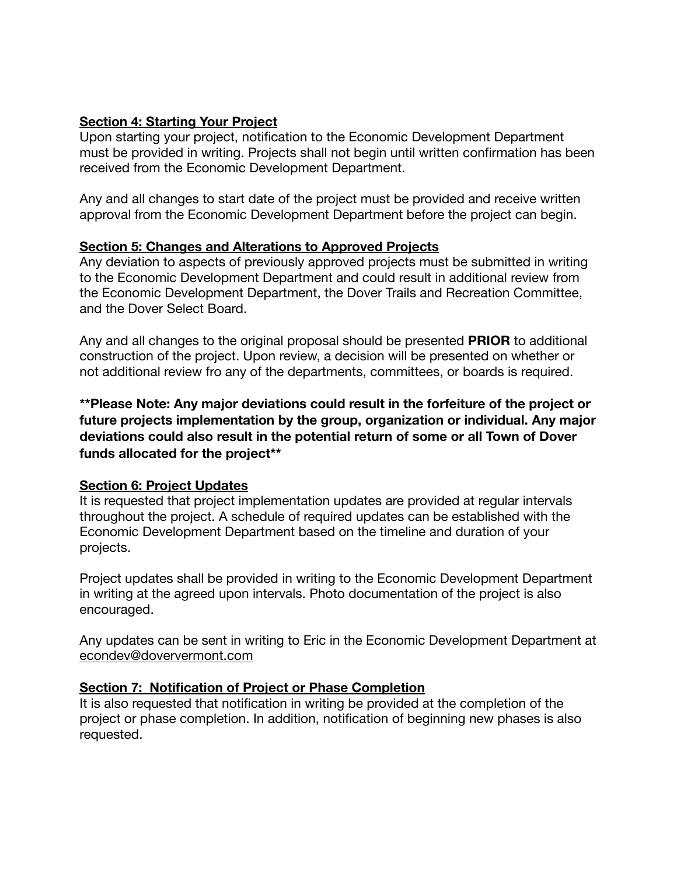## **Section 4: Starting Your Project**

Upon starting your project, notification to the Economic Development Department must be provided in writing. Projects shall not begin until written confirmation has been received from the Economic Development Department.

Any and all changes to start date of the project must be provided and receive written approval from the Economic Development Department before the project can begin.

## **Section 5: Changes and Alterations to Approved Projects**

Any deviation to aspects of previously approved projects must be submitted in writing to the Economic Development Department and could result in additional review from the Economic Development Department, the Dover Trails and Recreation Committee, and the Dover Select Board.

Any and all changes to the original proposal should be presented **PRIOR** to additional construction of the project. Upon review, a decision will be presented on whether or not additional review fro any of the departments, committees, or boards is required.

**\*\*Please Note: Any major deviations could result in the forfeiture of the project or future projects implementation by the group, organization or individual. Any major deviations could also result in the potential return of some or all Town of Dover funds allocated for the project\*\*** 

## **Section 6: Project Updates**

It is requested that project implementation updates are provided at regular intervals throughout the project. A schedule of required updates can be established with the Economic Development Department based on the timeline and duration of your projects.

Project updates shall be provided in writing to the Economic Development Department in writing at the agreed upon intervals. Photo documentation of the project is also encouraged.

Any updates can be sent in writing to Eric in the Economic Development Department at [econdev@doververmont.com](mailto:econdev@doververmont.com)

## **Section 7: Notification of Project or Phase Completion**

It is also requested that notification in writing be provided at the completion of the project or phase completion. In addition, notification of beginning new phases is also requested.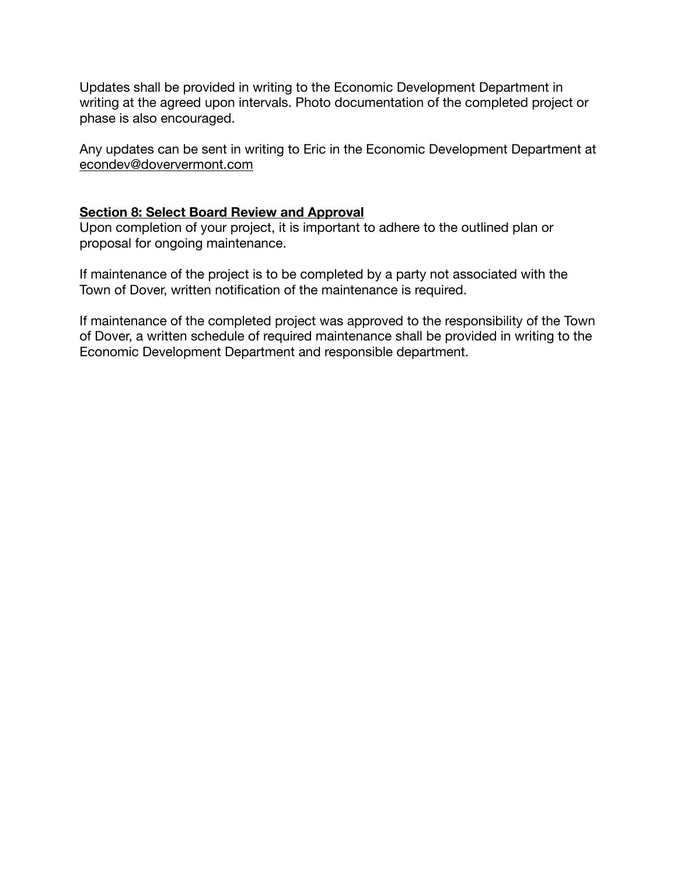Updates shall be provided in writing to the Economic Development Department in writing at the agreed upon intervals. Photo documentation of the completed project or phase is also encouraged.

Any updates can be sent in writing to Eric in the Economic Development Department at [econdev@doververmont.com](mailto:econdev@doververmont.com)

## **Section 8: Select Board Review and Approval**

Upon completion of your project, it is important to adhere to the outlined plan or proposal for ongoing maintenance.

If maintenance of the project is to be completed by a party not associated with the Town of Dover, written notification of the maintenance is required.

If maintenance of the completed project was approved to the responsibility of the Town of Dover, a written schedule of required maintenance shall be provided in writing to the Economic Development Department and responsible department.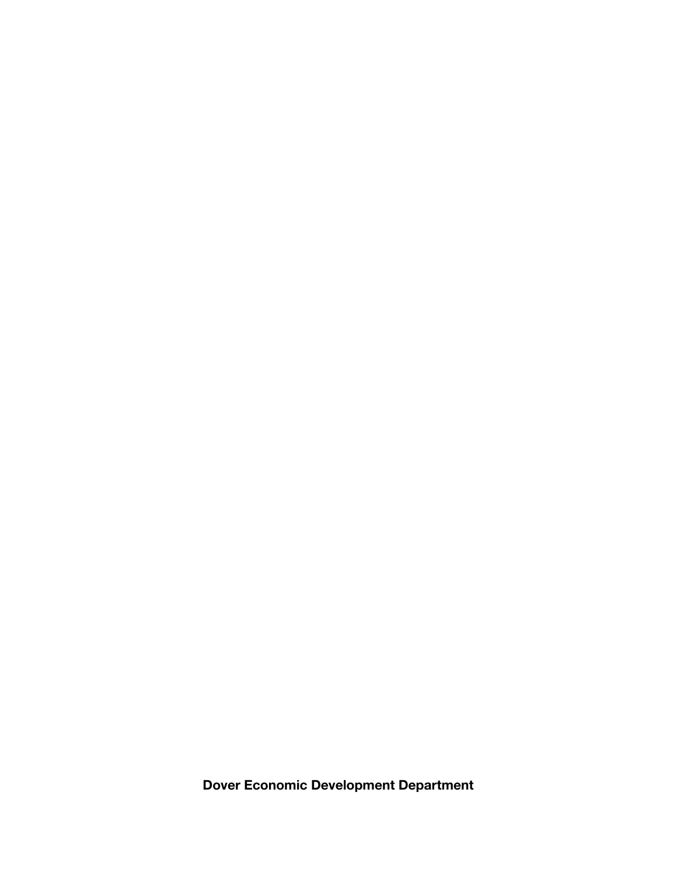**Dover Economic Development Department**